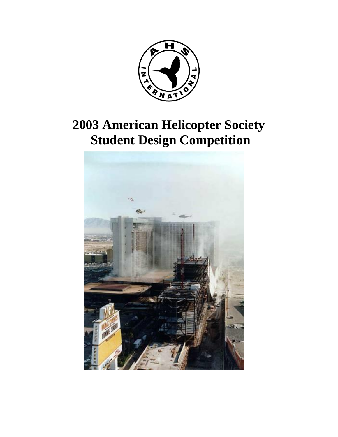

# **2003 American Helicopter Society Student Design Competition**

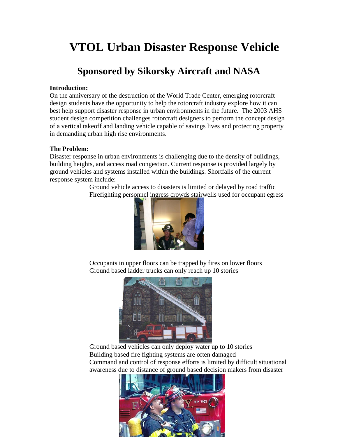## **VTOL Urban Disaster Response Vehicle**

## **Sponsored by Sikorsky Aircraft and NASA**

#### **Introduction:**

On the anniversary of the destruction of the World Trade Center, emerging rotorcraft design students have the opportunity to help the rotorcraft industry explore how it can best help support disaster response in urban environments in the future. The 2003 AHS student design competition challenges rotorcraft designers to perform the concept design of a vertical takeoff and landing vehicle capable of savings lives and protecting property in demanding urban high rise environments.

#### **The Problem:**

Disaster response in urban environments is challenging due to the density of buildings, building heights, and access road congestion. Current response is provided largely by ground vehicles and systems installed within the buildings. Shortfalls of the current response system include:

Ground vehicle access to disasters is limited or delayed by road traffic Firefighting personnel ingress crowds stairwells used for occupant egress



Occupants in upper floors can be trapped by fires on lower floors Ground based ladder trucks can only reach up 10 stories



Ground based vehicles can only deploy water up to 10 stories Building based fire fighting systems are often damaged Command and control of response efforts is limited by difficult situational awareness due to distance of ground based decision makers from disaster

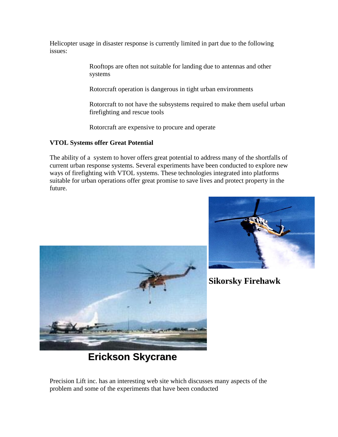Helicopter usage in disaster response is currently limited in part due to the following issues:

> Rooftops are often not suitable for landing due to antennas and other systems

Rotorcraft operation is dangerous in tight urban environments

Rotorcraft to not have the subsystems required to make them useful urban firefighting and rescue tools

Rotorcraft are expensive to procure and operate

#### **VTOL Systems offer Great Potential**

The ability of a system to hover offers great potential to address many of the shortfalls of current urban response systems. Several experiments have been conducted to explore new ways of firefighting with VTOL systems. These technologies integrated into platforms suitable for urban operations offer great promise to save lives and protect property in the future.





 **Sikorsky Firehawk**

**Erickson Skycrane**

Precision Lift inc. has an interesting web site which discusses many aspects of the problem and some of the experiments that have been conducted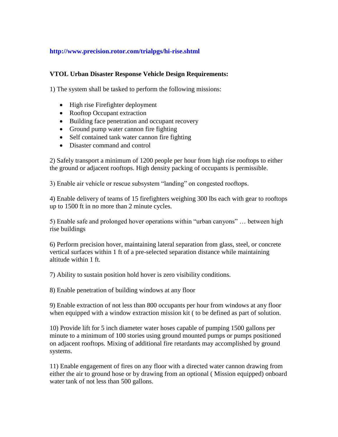#### **http://www.precision.rotor.com/trialpgs/hi-rise.shtml**

#### **VTOL Urban Disaster Response Vehicle Design Requirements:**

1) The system shall be tasked to perform the following missions:

- High rise Firefighter deployment
- Rooftop Occupant extraction
- Building face penetration and occupant recovery
- Ground pump water cannon fire fighting
- Self contained tank water cannon fire fighting
- Disaster command and control

2) Safely transport a minimum of 1200 people per hour from high rise rooftops to either the ground or adjacent rooftops. High density packing of occupants is permissible.

3) Enable air vehicle or rescue subsystem "landing" on congested rooftops.

4) Enable delivery of teams of 15 firefighters weighing 300 lbs each with gear to rooftops up to 1500 ft in no more than 2 minute cycles.

5) Enable safe and prolonged hover operations within "urban canyons" … between high rise buildings

6) Perform precision hover, maintaining lateral separation from glass, steel, or concrete vertical surfaces within 1 ft of a pre-selected separation distance while maintaining altitude within 1 ft.

7) Ability to sustain position hold hover is zero visibility conditions.

8) Enable penetration of building windows at any floor

9) Enable extraction of not less than 800 occupants per hour from windows at any floor when equipped with a window extraction mission kit ( to be defined as part of solution.

10) Provide lift for 5 inch diameter water hoses capable of pumping 1500 gallons per minute to a minimum of 100 stories using ground mounted pumps or pumps positioned on adjacent rooftops. Mixing of additional fire retardants may accomplished by ground systems.

11) Enable engagement of fires on any floor with a directed water cannon drawing from either the air to ground hose or by drawing from an optional ( Mission equipped) onboard water tank of not less than 500 gallons.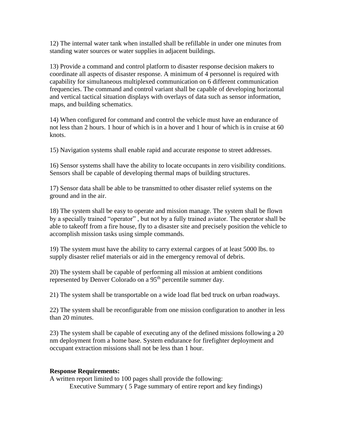12) The internal water tank when installed shall be refillable in under one minutes from standing water sources or water supplies in adjacent buildings.

13) Provide a command and control platform to disaster response decision makers to coordinate all aspects of disaster response. A minimum of 4 personnel is required with capability for simultaneous multiplexed communication on 6 different communication frequencies. The command and control variant shall be capable of developing horizontal and vertical tactical situation displays with overlays of data such as sensor information, maps, and building schematics.

14) When configured for command and control the vehicle must have an endurance of not less than 2 hours. 1 hour of which is in a hover and 1 hour of which is in cruise at 60 knots.

15) Navigation systems shall enable rapid and accurate response to street addresses.

16) Sensor systems shall have the ability to locate occupants in zero visibility conditions. Sensors shall be capable of developing thermal maps of building structures.

17) Sensor data shall be able to be transmitted to other disaster relief systems on the ground and in the air.

18) The system shall be easy to operate and mission manage. The system shall be flown by a specially trained "operator" , but not by a fully trained aviator. The operator shall be able to takeoff from a fire house, fly to a disaster site and precisely position the vehicle to accomplish mission tasks using simple commands.

19) The system must have the ability to carry external cargoes of at least 5000 lbs. to supply disaster relief materials or aid in the emergency removal of debris.

20) The system shall be capable of performing all mission at ambient conditions represented by Denver Colorado on a 95<sup>th</sup> percentile summer day.

21) The system shall be transportable on a wide load flat bed truck on urban roadways.

22) The system shall be reconfigurable from one mission configuration to another in less than 20 minutes.

23) The system shall be capable of executing any of the defined missions following a 20 nm deployment from a home base. System endurance for firefighter deployment and occupant extraction missions shall not be less than 1 hour.

#### **Response Requirements:**

A written report limited to 100 pages shall provide the following: Executive Summary ( 5 Page summary of entire report and key findings)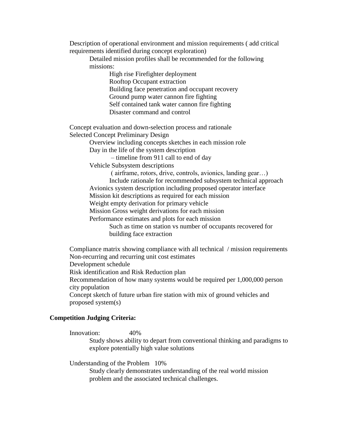Description of operational environment and mission requirements ( add critical requirements identified during concept exploration)

Detailed mission profiles shall be recommended for the following missions:

> High rise Firefighter deployment Rooftop Occupant extraction Building face penetration and occupant recovery Ground pump water cannon fire fighting Self contained tank water cannon fire fighting Disaster command and control

Concept evaluation and down-selection process and rationale Selected Concept Preliminary Design

Overview including concepts sketches in each mission role

Day in the life of the system description

– timeline from 911 call to end of day

Vehicle Subsystem descriptions

( airframe, rotors, drive, controls, avionics, landing gear…)

Include rationale for recommended subsystem technical approach

Avionics system description including proposed operator interface

Mission kit descriptions as required for each mission

Weight empty derivation for primary vehicle

Mission Gross weight derivations for each mission

Performance estimates and plots for each mission

Such as time on station vs number of occupants recovered for building face extraction

Compliance matrix showing compliance with all technical / mission requirements Non-recurring and recurring unit cost estimates Development schedule Risk identification and Risk Reduction plan Recommendation of how many systems would be required per 1,000,000 person

city population

Concept sketch of future urban fire station with mix of ground vehicles and proposed system(s)

#### **Competition Judging Criteria:**

Innovation: 40%

Study shows ability to depart from conventional thinking and paradigms to explore potentially high value solutions

Understanding of the Problem 10%

Study clearly demonstrates understanding of the real world mission problem and the associated technical challenges.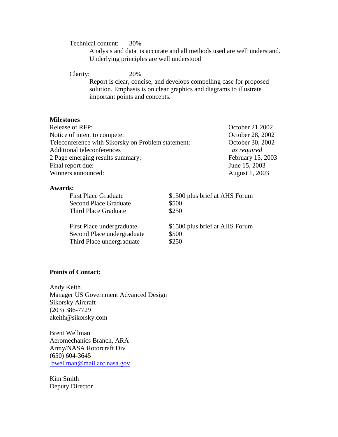Technical content: 30%

Analysis and data is accurate and all methods used are well understand. Underlying principles are well understood

Clarity: 20%

Report is clear, concise, and develops compelling case for proposed solution. Emphasis is on clear graphics and diagrams to illustrate important points and concepts.

#### **Milestones**

| <b>Release of RFP:</b>                             | October 21,2002   |
|----------------------------------------------------|-------------------|
| Notice of intent to compete:                       | October 28, 2002  |
| Teleconference with Sikorsky on Problem statement: | October 30, 2002  |
| <b>Additional teleconferences</b>                  | as required       |
| 2 Page emerging results summary:                   | February 15, 2003 |
| Final report due:                                  | June 15, 2003     |
| Winners announced:                                 | August 1, 2003    |

#### **Awards:**

| <b>First Place Graduate</b>  | \$1500 plus brief at AHS Forum |
|------------------------------|--------------------------------|
| <b>Second Place Graduate</b> | \$500                          |
| Third Place Graduate         | \$250                          |
| First Place undergraduate    | \$1500 plus brief at AHS Forum |
| Second Place undergraduate   | \$500                          |
| Third Place undergraduate    | \$250                          |

#### **Points of Contact:**

Andy Keith Manager US Government Advanced Design Sikorsky Aircraft (203) 386-7729 akeith@sikorsky.com

Brent Wellman Aeromechanics Branch, ARA Army/NASA Rotorcraft Div (650) 604-3645 [bwellman@mail.arc.nasa.gov](mailto:eaiken@mail.arc.nasa.gov)

Kim Smith Deputy Director